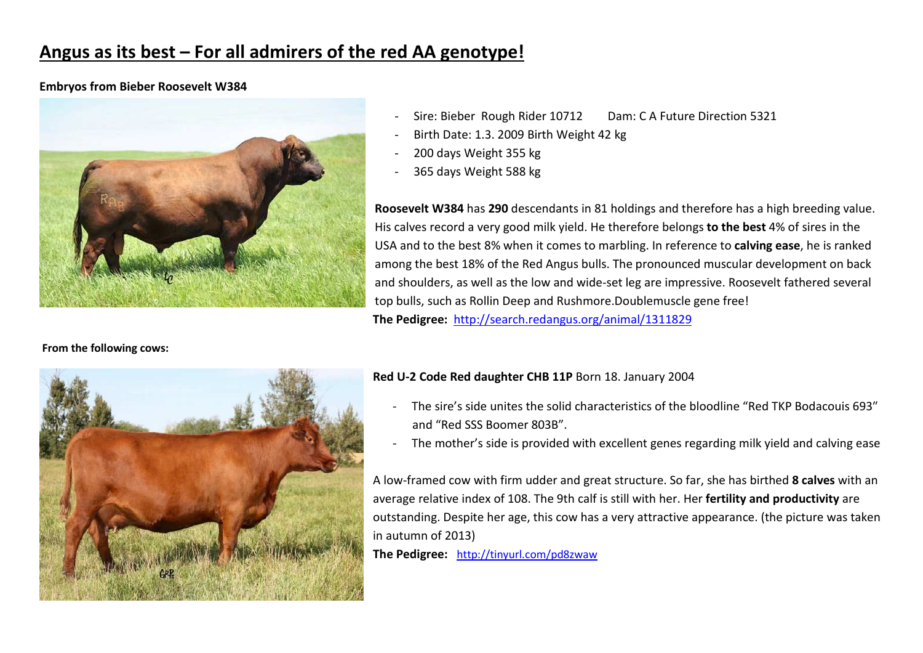# **Angus as its best – For all admirers of the red AA genotype!**

#### **Embryos from Bieber Roosevelt W384**



**From the following cows:**

#### Sire: Bieber Rough Rider 10712 Dam: C A Future Direction 5321

- Birth Date: 1.3. 2009 Birth Weight 42 kg
- 200 days Weight 355 kg
- 365 days Weight 588 kg

**Roosevelt W384** has **290** descendants in 81 holdings and therefore has a high breeding value. His calves record a very good milk yield. He therefore belongs **to the best** 4% of sires in the USA and to the best 8% when it comes to marbling. In reference to **calving ease**, he is ranked among the best 18% of the Red Angus bulls. The pronounced muscular development on back and shoulders, as well as the low and wide-set leg are impressive. Roosevelt fathered several top bulls, such as Rollin Deep and Rushmore.Doublemuscle gene free! **The Pedigree:** http://search.redangus.org/animal/1311829

#### **Red U-2 Code Red daughter CHB 11P** Born 18. January 2004

- The sire's side unites the solid characteristics of the bloodline "Red TKP Bodacouis 693″ and "Red SSS Boomer 803B".
- The mother's side is provided with excellent genes regarding milk yield and calving ease

A low-framed cow with firm udder and great structure. So far, she has birthed **8 calves** with an average relative index of 108. The 9th calf is still with her. Her **fertility and productivity** are outstanding. Despite her age, this cow has a very attractive appearance. (the picture was taken in autumn of 2013)

**The Pedigree:** http://tinyurl.com/pd8zwaw